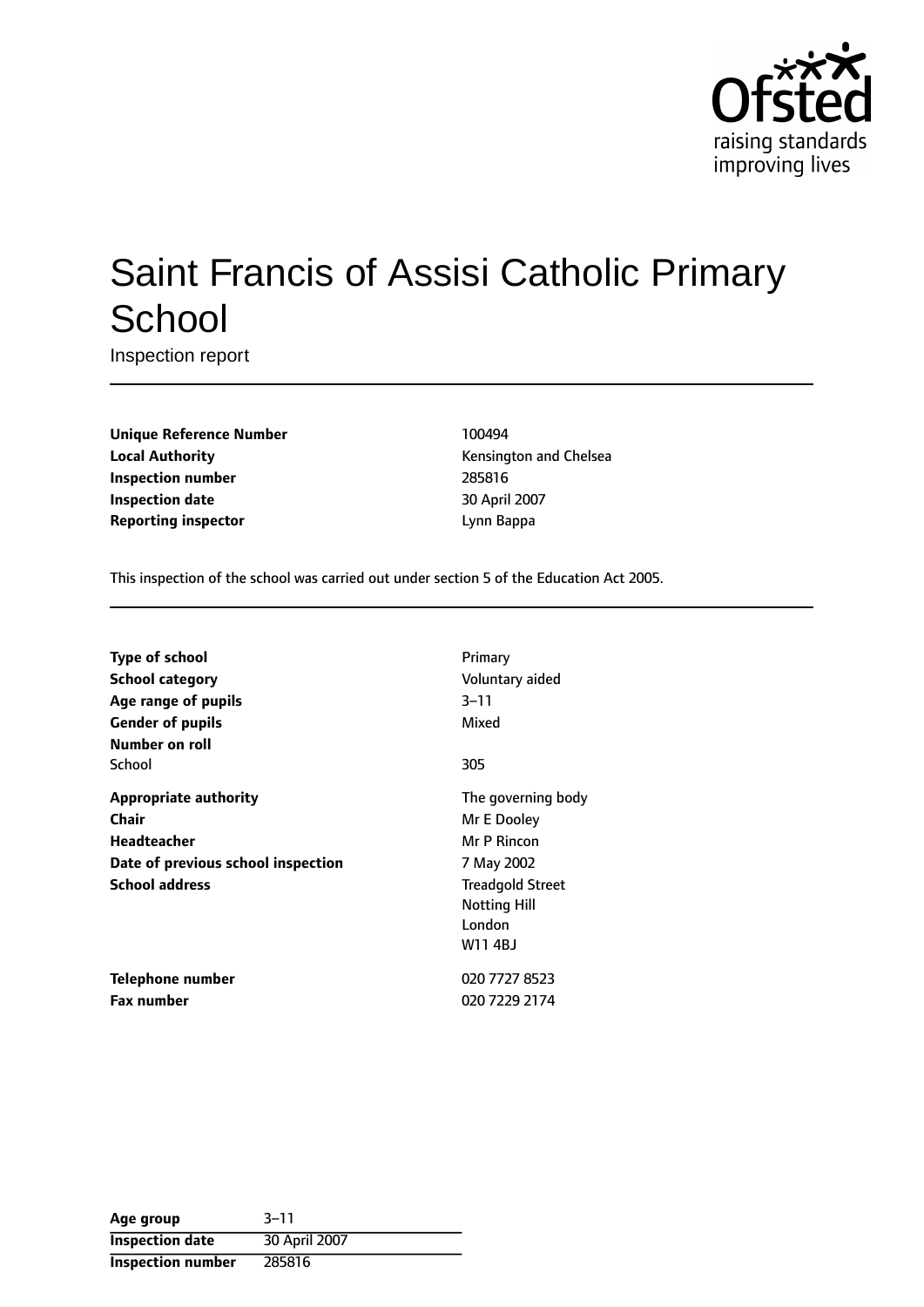

# Saint Francis of Assisi Catholic Primary **School**

Inspection report

**Unique Reference Number** 100494 **Local Authority Constanting Constanting Constanting Constanting Constanting Constanting Constanting Constanting Constanting Constanting Constanting Constanting Constanting Constanting Constanting Constanting Constanting Inspection number** 285816 **Inspection date** 30 April 2007 **Reporting inspector and a linear Expansion Community Community** Lynn Bappa

This inspection of the school was carried out under section 5 of the Education Act 2005.

| <b>Type of school</b>              | Primary                 |
|------------------------------------|-------------------------|
| School category                    | Voluntary aided         |
| Age range of pupils                | $3 - 11$                |
| <b>Gender of pupils</b>            | Mixed                   |
| Number on roll                     |                         |
| School                             | 305                     |
| <b>Appropriate authority</b>       | The governing body      |
| Chair                              | Mr E Dooley             |
| <b>Headteacher</b>                 | Mr P Rincon             |
| Date of previous school inspection | 7 May 2002              |
| <b>School address</b>              | <b>Treadgold Street</b> |
|                                    | <b>Notting Hill</b>     |
|                                    | London                  |
|                                    | W114BJ                  |
| Telephone number                   | 020 7727 8523           |
| <b>Fax number</b>                  | 020 7229 2174           |

| Age group                | $3 - 11$      |
|--------------------------|---------------|
| <b>Inspection date</b>   | 30 April 2007 |
| <b>Inspection number</b> | 285816        |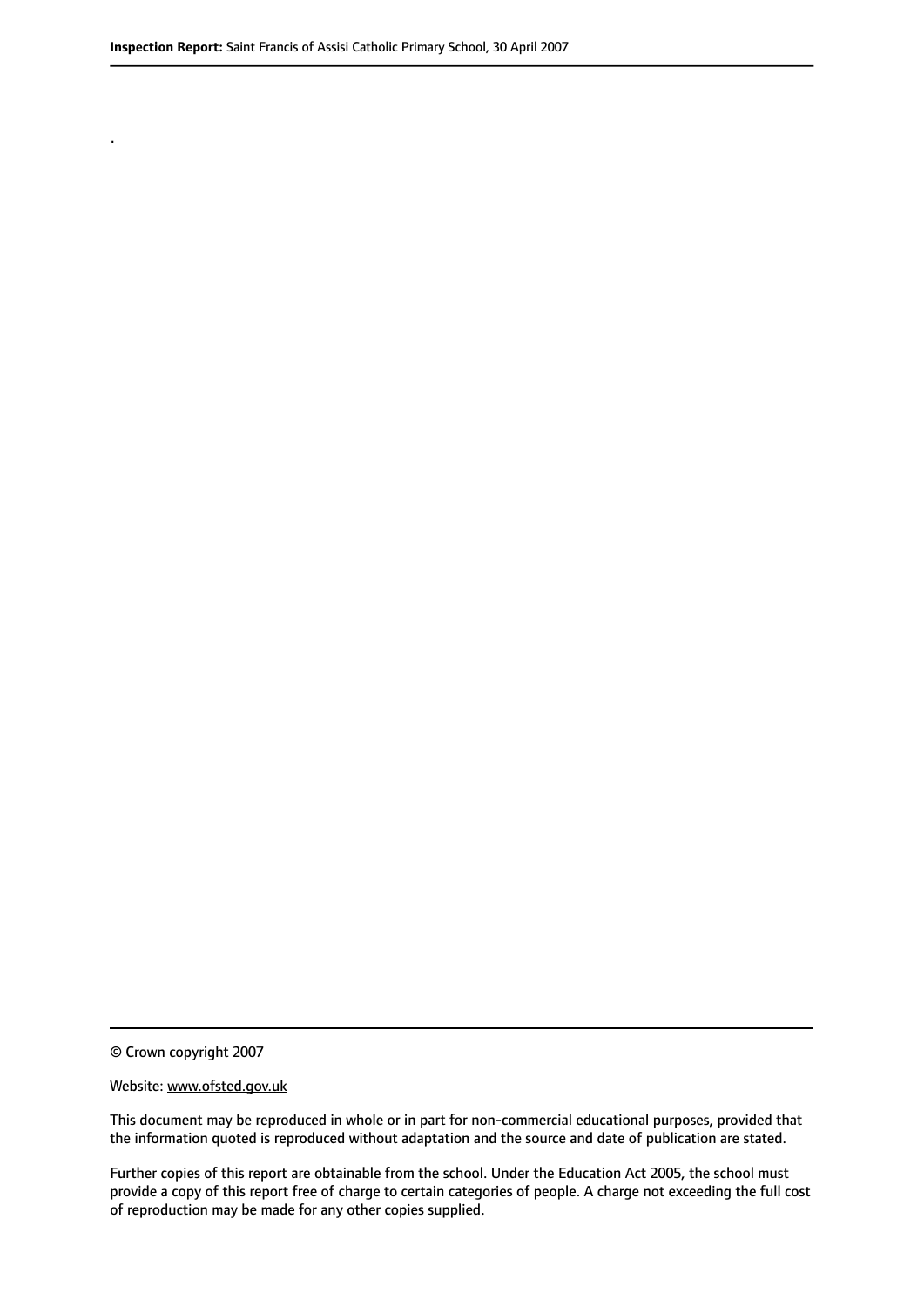.

© Crown copyright 2007

#### Website: www.ofsted.gov.uk

This document may be reproduced in whole or in part for non-commercial educational purposes, provided that the information quoted is reproduced without adaptation and the source and date of publication are stated.

Further copies of this report are obtainable from the school. Under the Education Act 2005, the school must provide a copy of this report free of charge to certain categories of people. A charge not exceeding the full cost of reproduction may be made for any other copies supplied.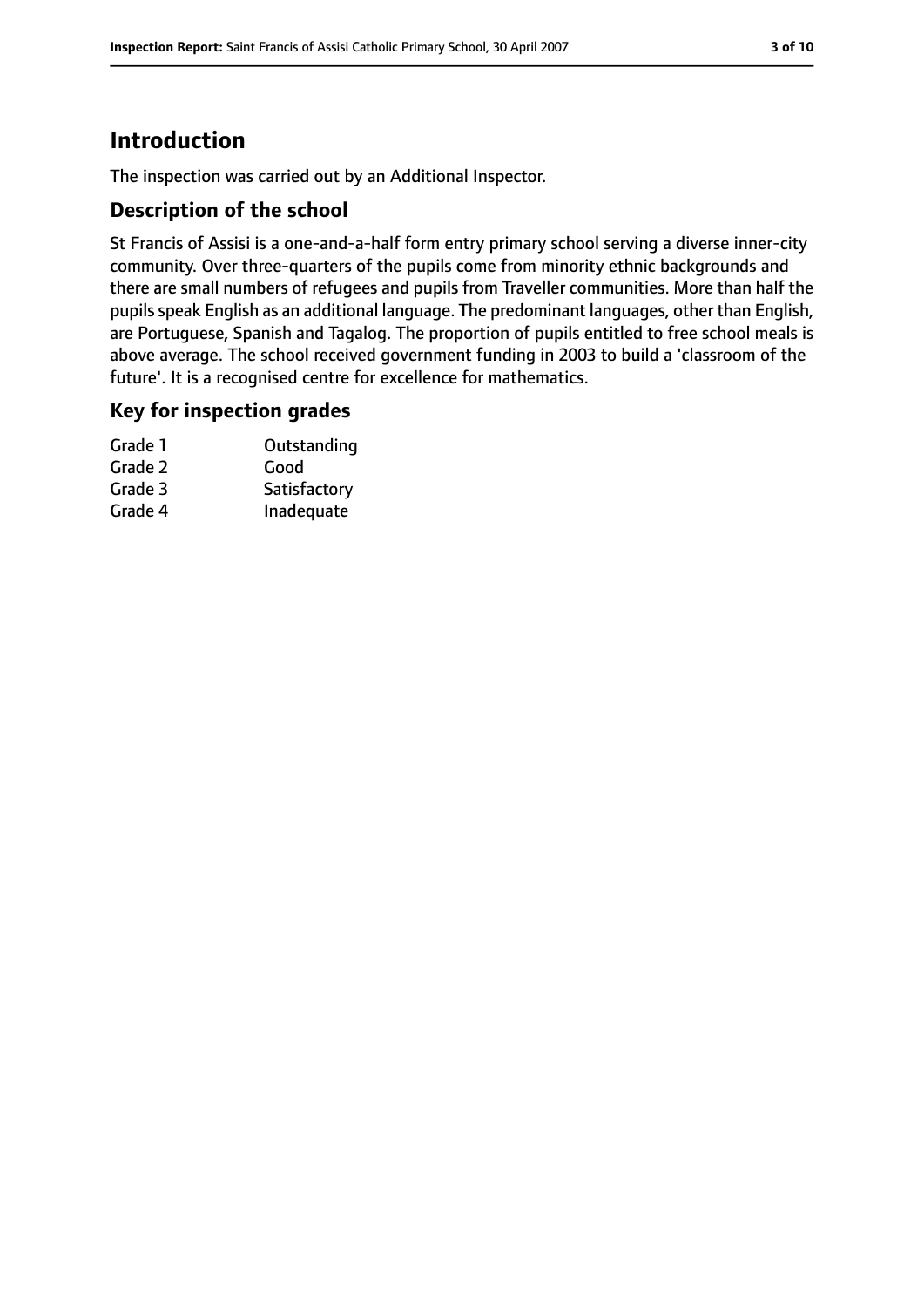# **Introduction**

The inspection was carried out by an Additional Inspector.

#### **Description of the school**

St Francis of Assisi is a one-and-a-half form entry primary school serving a diverse inner-city community. Over three-quarters of the pupils come from minority ethnic backgrounds and there are small numbers of refugees and pupils from Traveller communities. More than half the pupils speak English as an additional language. The predominant languages, other than English, are Portuguese, Spanish and Tagalog. The proportion of pupils entitled to free school meals is above average. The school received government funding in 2003 to build a 'classroom of the future'. It is a recognised centre for excellence for mathematics.

#### **Key for inspection grades**

| Grade 1 | Outstanding  |
|---------|--------------|
| Grade 2 | Good         |
| Grade 3 | Satisfactory |
| Grade 4 | Inadequate   |
|         |              |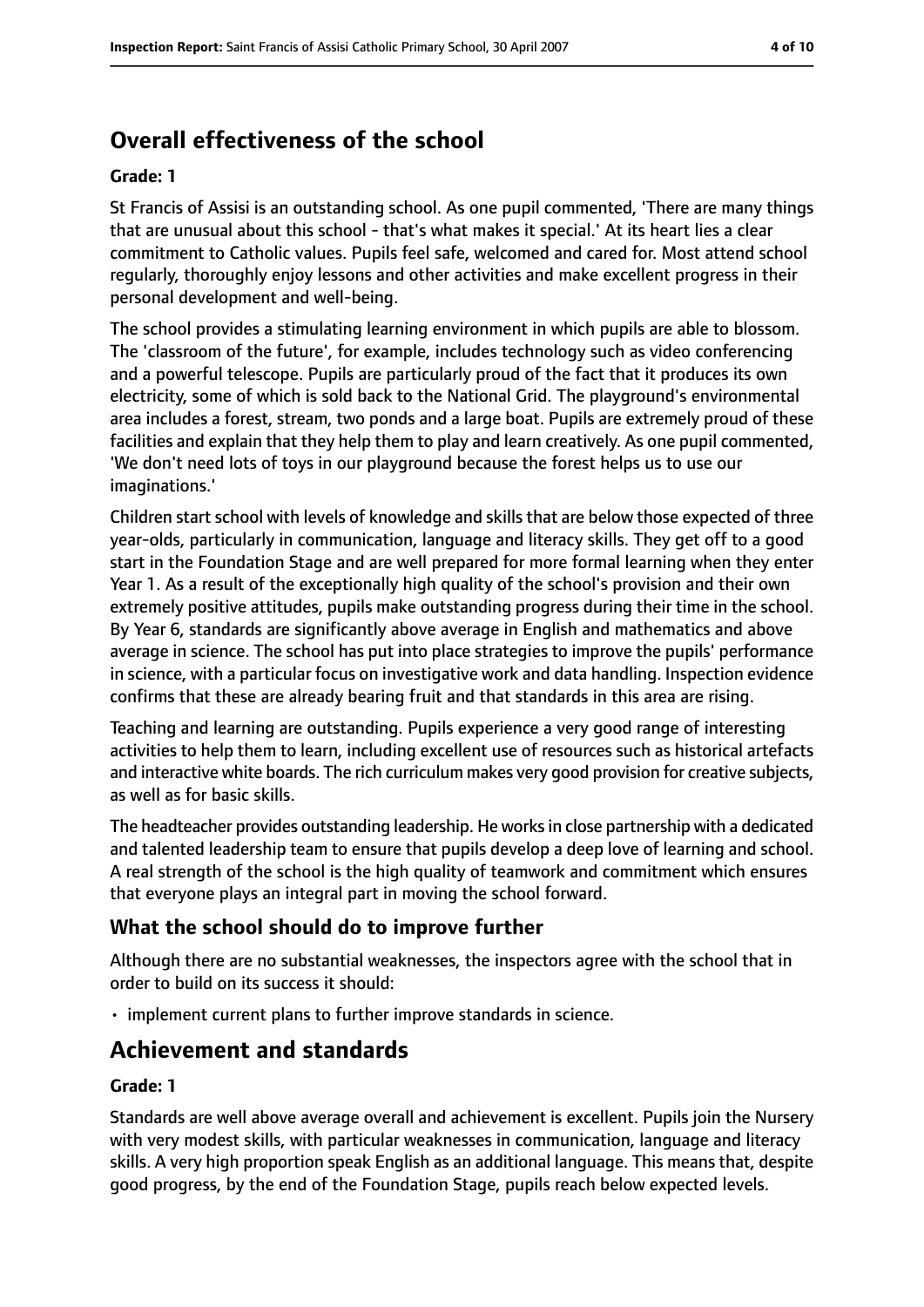# **Overall effectiveness of the school**

#### **Grade: 1**

St Francis of Assisi is an outstanding school. As one pupil commented, 'There are many things that are unusual about this school - that's what makes it special.' At its heart lies a clear commitment to Catholic values. Pupils feel safe, welcomed and cared for. Most attend school regularly, thoroughly enjoy lessons and other activities and make excellent progress in their personal development and well-being.

The school provides a stimulating learning environment in which pupils are able to blossom. The 'classroom of the future', for example, includes technology such as video conferencing and a powerful telescope. Pupils are particularly proud of the fact that it produces its own electricity, some of which is sold back to the National Grid. The playground's environmental area includes a forest, stream, two ponds and a large boat. Pupils are extremely proud of these facilities and explain that they help them to play and learn creatively. As one pupil commented, 'We don't need lots of toys in our playground because the forest helps us to use our imaginations.'

Children start school with levels of knowledge and skills that are below those expected of three year-olds, particularly in communication, language and literacy skills. They get off to a good start in the Foundation Stage and are well prepared for more formal learning when they enter Year 1. As a result of the exceptionally high quality of the school's provision and their own extremely positive attitudes, pupils make outstanding progress during their time in the school. By Year 6, standards are significantly above average in English and mathematics and above average in science. The school has put into place strategies to improve the pupils' performance in science, with a particular focus on investigative work and data handling. Inspection evidence confirms that these are already bearing fruit and that standards in this area are rising.

Teaching and learning are outstanding. Pupils experience a very good range of interesting activities to help them to learn, including excellent use of resources such as historical artefacts and interactive white boards. The rich curriculum makes very good provision for creative subjects, as well as for basic skills.

The headteacher provides outstanding leadership. He worksin close partnership with a dedicated and talented leadership team to ensure that pupils develop a deep love of learning and school. A real strength of the school is the high quality of teamwork and commitment which ensures that everyone plays an integral part in moving the school forward.

#### **What the school should do to improve further**

Although there are no substantial weaknesses, the inspectors agree with the school that in order to build on its success it should:

• implement current plans to further improve standards in science.

# **Achievement and standards**

#### **Grade: 1**

Standards are well above average overall and achievement is excellent. Pupils join the Nursery with very modest skills, with particular weaknesses in communication, language and literacy skills. A very high proportion speak English as an additional language. This means that, despite good progress, by the end of the Foundation Stage, pupils reach below expected levels.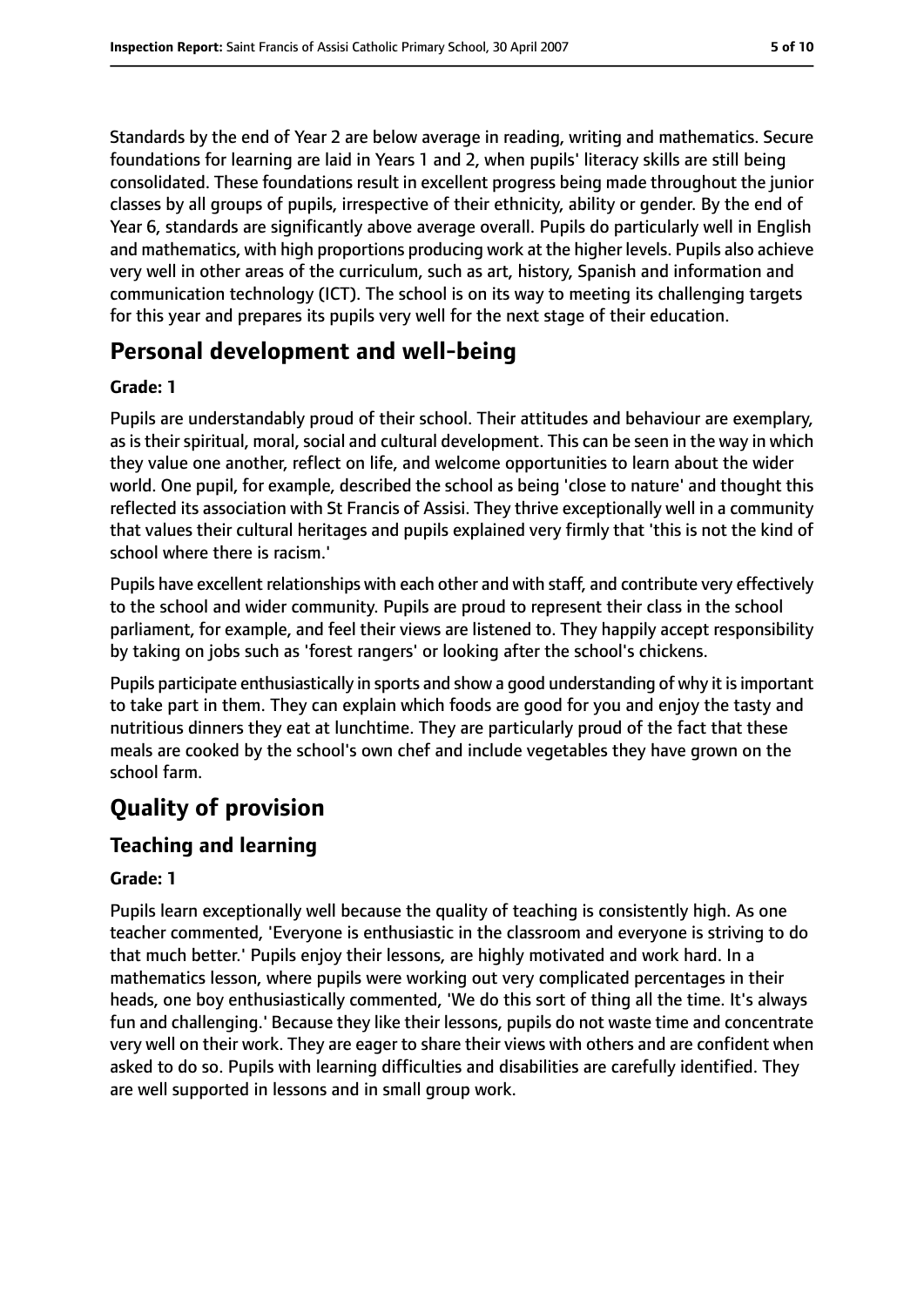Standards by the end of Year 2 are below average in reading, writing and mathematics. Secure foundations for learning are laid in Years 1 and 2, when pupils' literacy skills are still being consolidated. These foundations result in excellent progress being made throughout the junior classes by all groups of pupils, irrespective of their ethnicity, ability or gender. By the end of Year 6, standards are significantly above average overall. Pupils do particularly well in English and mathematics, with high proportions producing work at the higher levels. Pupils also achieve very well in other areas of the curriculum, such as art, history, Spanish and information and communication technology (ICT). The school is on its way to meeting its challenging targets for this year and prepares its pupils very well for the next stage of their education.

# **Personal development and well-being**

#### **Grade: 1**

Pupils are understandably proud of their school. Their attitudes and behaviour are exemplary, as is their spiritual, moral, social and cultural development. This can be seen in the way in which they value one another, reflect on life, and welcome opportunities to learn about the wider world. One pupil, for example, described the school as being 'close to nature' and thought this reflected its association with St Francis of Assisi. They thrive exceptionally well in a community that values their cultural heritages and pupils explained very firmly that 'this is not the kind of school where there is racism.'

Pupils have excellent relationships with each other and with staff, and contribute very effectively to the school and wider community. Pupils are proud to represent their class in the school parliament, for example, and feel their views are listened to. They happily accept responsibility by taking on jobs such as 'forest rangers' or looking after the school's chickens.

Pupils participate enthusiastically in sports and show a good understanding of why it isimportant to take part in them. They can explain which foods are good for you and enjoy the tasty and nutritious dinners they eat at lunchtime. They are particularly proud of the fact that these meals are cooked by the school's own chef and include vegetables they have grown on the school farm.

# **Quality of provision**

#### **Teaching and learning**

#### **Grade: 1**

Pupils learn exceptionally well because the quality of teaching is consistently high. As one teacher commented, 'Everyone is enthusiastic in the classroom and everyone is striving to do that much better.' Pupils enjoy their lessons, are highly motivated and work hard. In a mathematics lesson, where pupils were working out very complicated percentages in their heads, one boy enthusiastically commented, 'We do this sort of thing all the time. It's always fun and challenging.' Because they like their lessons, pupils do not waste time and concentrate very well on their work. They are eager to share their views with others and are confident when asked to do so. Pupils with learning difficulties and disabilities are carefully identified. They are well supported in lessons and in small group work.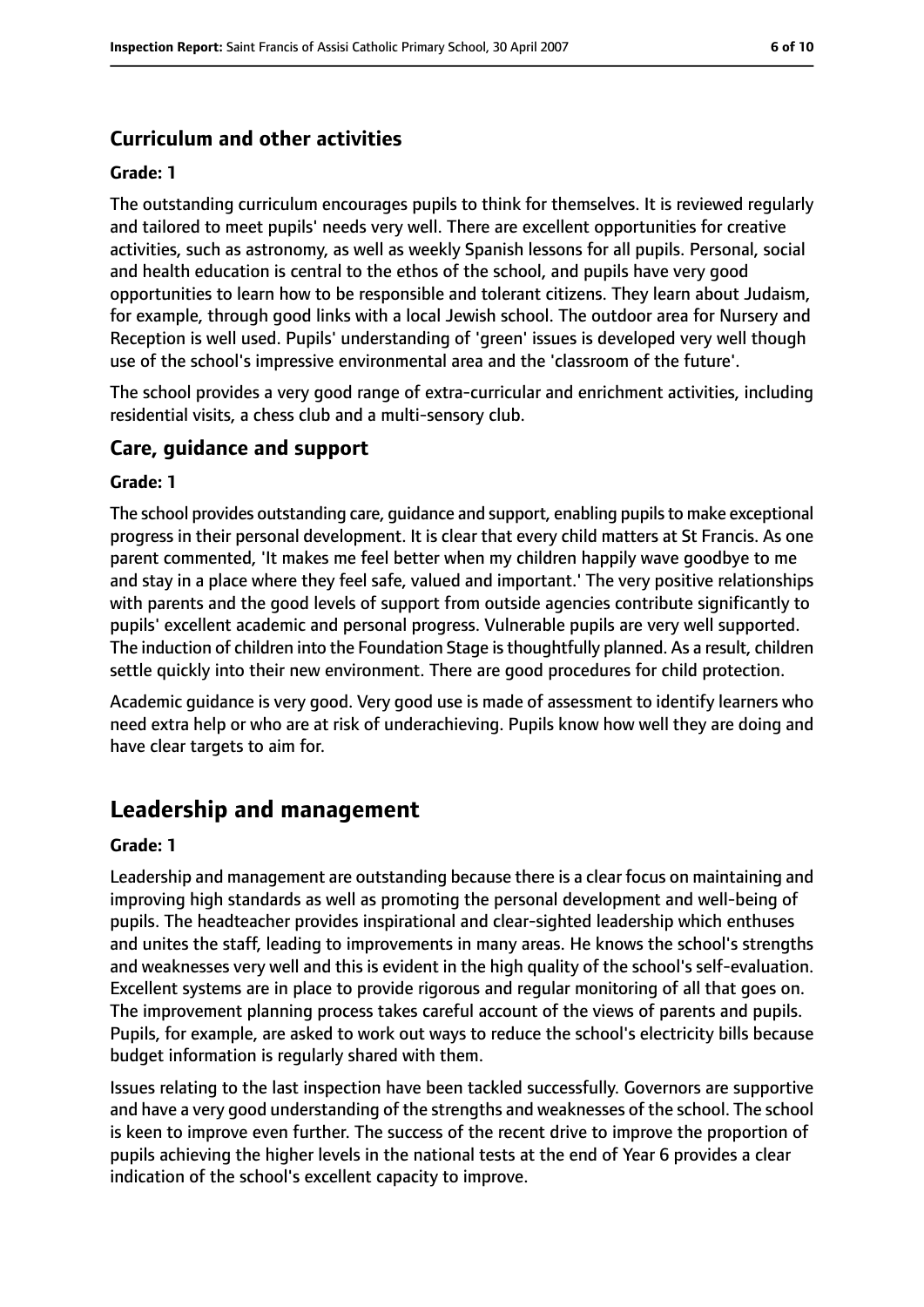#### **Curriculum and other activities**

#### **Grade: 1**

The outstanding curriculum encourages pupils to think for themselves. It is reviewed regularly and tailored to meet pupils' needs very well. There are excellent opportunities for creative activities, such as astronomy, as well as weekly Spanish lessons for all pupils. Personal, social and health education is central to the ethos of the school, and pupils have very good opportunities to learn how to be responsible and tolerant citizens. They learn about Judaism, for example, through good links with a local Jewish school. The outdoor area for Nursery and Reception is well used. Pupils' understanding of 'green' issues is developed very well though use of the school's impressive environmental area and the 'classroom of the future'.

The school provides a very good range of extra-curricular and enrichment activities, including residential visits, a chess club and a multi-sensory club.

#### **Care, guidance and support**

#### **Grade: 1**

The school provides outstanding care, guidance and support, enabling pupilsto make exceptional progress in their personal development. It is clear that every child matters at St Francis. As one parent commented, 'It makes me feel better when my children happily wave goodbye to me and stay in a place where they feel safe, valued and important.' The very positive relationships with parents and the good levels of support from outside agencies contribute significantly to pupils' excellent academic and personal progress. Vulnerable pupils are very well supported. The induction of children into the Foundation Stage is thoughtfully planned. As a result, children settle quickly into their new environment. There are good procedures for child protection.

Academic guidance is very good. Very good use is made of assessment to identify learners who need extra help or who are at risk of underachieving. Pupils know how well they are doing and have clear targets to aim for.

# **Leadership and management**

#### **Grade: 1**

Leadership and management are outstanding because there is a clear focus on maintaining and improving high standards as well as promoting the personal development and well-being of pupils. The headteacher provides inspirational and clear-sighted leadership which enthuses and unites the staff, leading to improvements in many areas. He knows the school's strengths and weaknesses very well and this is evident in the high quality of the school's self-evaluation. Excellent systems are in place to provide rigorous and regular monitoring of all that goes on. The improvement planning process takes careful account of the views of parents and pupils. Pupils, for example, are asked to work out ways to reduce the school's electricity bills because budget information is regularly shared with them.

Issues relating to the last inspection have been tackled successfully. Governors are supportive and have a very good understanding of the strengths and weaknesses of the school. The school is keen to improve even further. The success of the recent drive to improve the proportion of pupils achieving the higher levels in the national tests at the end of Year 6 provides a clear indication of the school's excellent capacity to improve.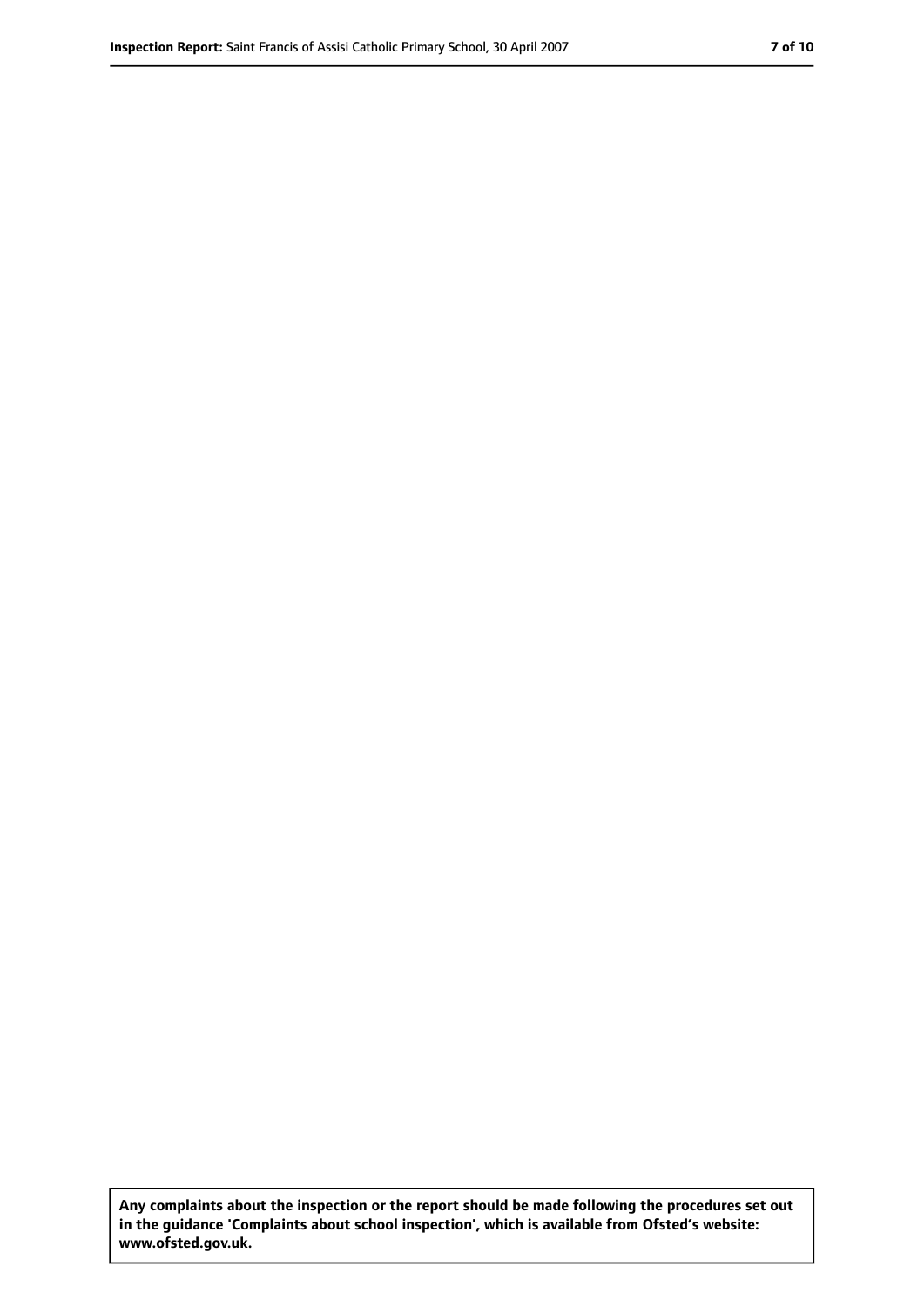**Any complaints about the inspection or the report should be made following the procedures set out in the guidance 'Complaints about school inspection', which is available from Ofsted's website: www.ofsted.gov.uk.**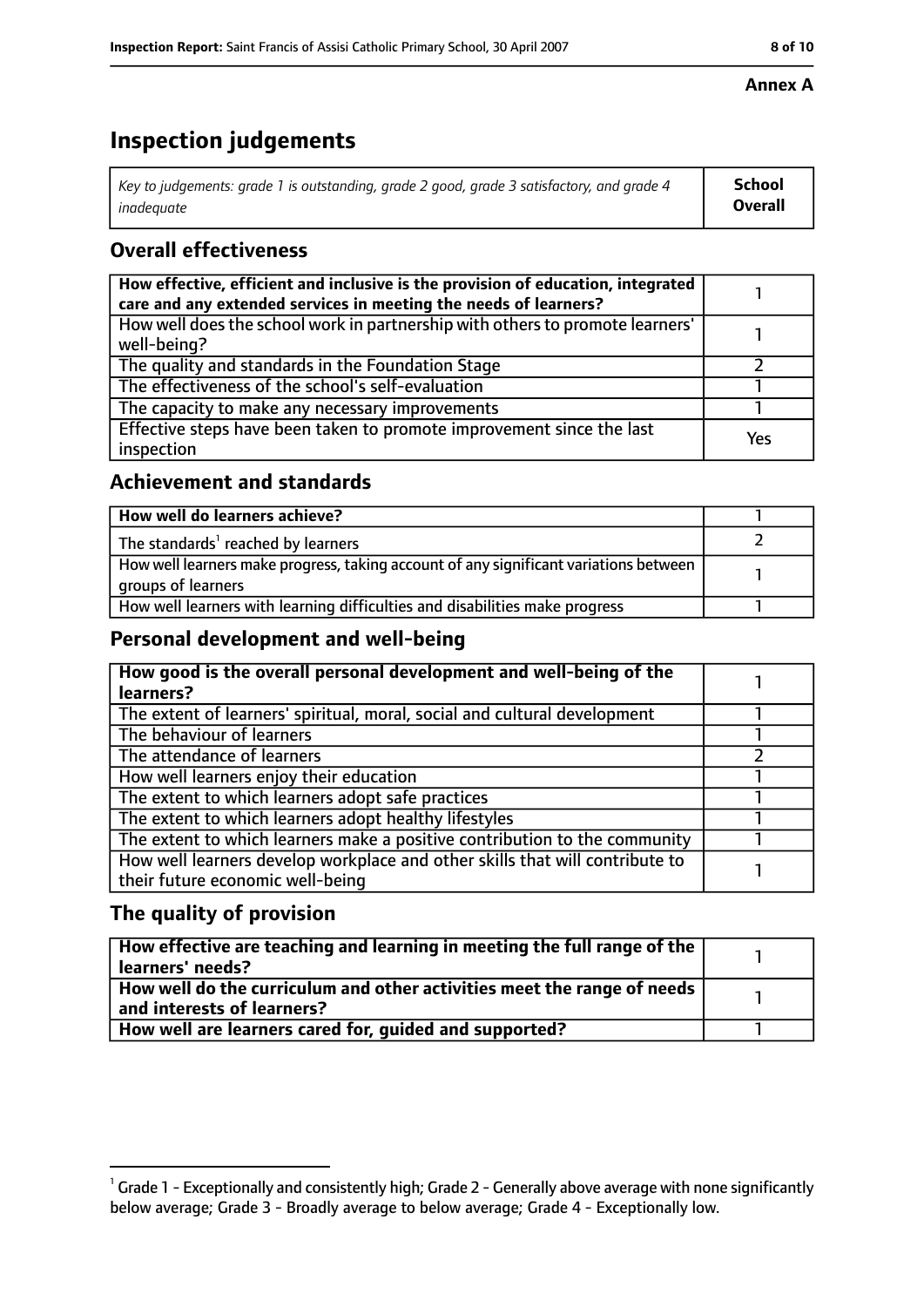#### **Annex A**

# **Inspection judgements**

| Key to judgements: grade 1 is outstanding, grade 2 good, grade 3 satisfactory, and grade 4 | School  |
|--------------------------------------------------------------------------------------------|---------|
| inadeguate                                                                                 | Overall |

### **Overall effectiveness**

| How effective, efficient and inclusive is the provision of education, integrated<br>care and any extended services in meeting the needs of learners? |     |
|------------------------------------------------------------------------------------------------------------------------------------------------------|-----|
| How well does the school work in partnership with others to promote learners'<br>well-being?                                                         |     |
| The quality and standards in the Foundation Stage                                                                                                    |     |
| The effectiveness of the school's self-evaluation                                                                                                    |     |
| The capacity to make any necessary improvements                                                                                                      |     |
| Effective steps have been taken to promote improvement since the last<br>inspection                                                                  | Yes |

#### **Achievement and standards**

| How well do learners achieve?                                                                               |  |
|-------------------------------------------------------------------------------------------------------------|--|
| The standards <sup>1</sup> reached by learners                                                              |  |
| How well learners make progress, taking account of any significant variations between<br>groups of learners |  |
| How well learners with learning difficulties and disabilities make progress                                 |  |

#### **Personal development and well-being**

| How good is the overall personal development and well-being of the<br>learners? |  |
|---------------------------------------------------------------------------------|--|
|                                                                                 |  |
| The extent of learners' spiritual, moral, social and cultural development       |  |
| The behaviour of learners                                                       |  |
| The attendance of learners                                                      |  |
| How well learners enjoy their education                                         |  |
| The extent to which learners adopt safe practices                               |  |
| The extent to which learners adopt healthy lifestyles                           |  |
| The extent to which learners make a positive contribution to the community      |  |
| How well learners develop workplace and other skills that will contribute to    |  |
| their future economic well-being                                                |  |

### **The quality of provision**

| $\mid$ How effective are teaching and learning in meeting the full range of the $\mid$<br>  learners' needs?               |  |
|----------------------------------------------------------------------------------------------------------------------------|--|
| $\mid$ How well do the curriculum and other activities meet the range of needs $\mid$<br>$\mid$ and interests of learners? |  |
| How well are learners cared for, quided and supported?                                                                     |  |

 $^1$  Grade 1 - Exceptionally and consistently high; Grade 2 - Generally above average with none significantly below average; Grade 3 - Broadly average to below average; Grade 4 - Exceptionally low.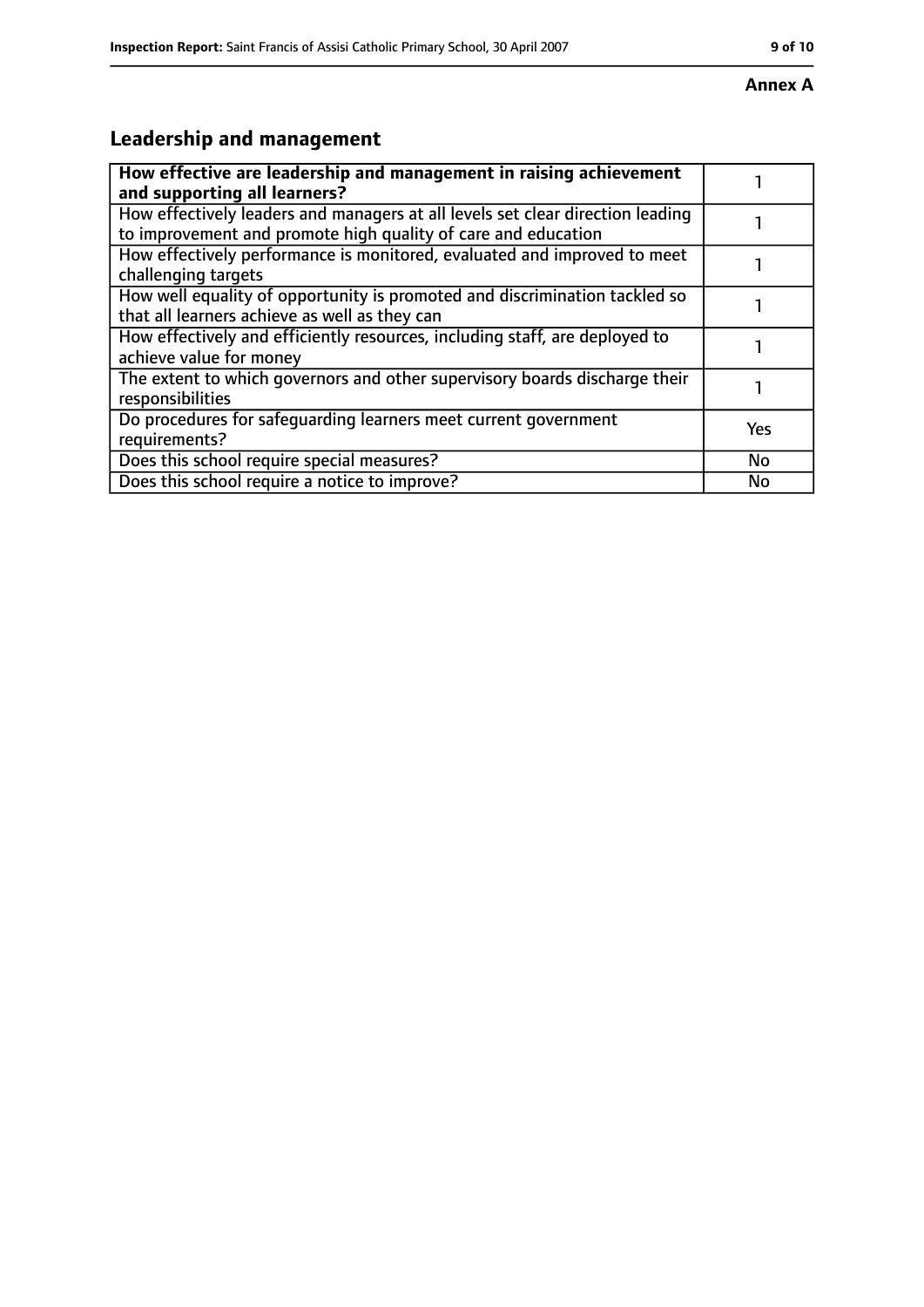#### **Annex A**

# **Leadership and management**

| How effective are leadership and management in raising achievement<br>and supporting all learners?                                              |     |
|-------------------------------------------------------------------------------------------------------------------------------------------------|-----|
| How effectively leaders and managers at all levels set clear direction leading<br>to improvement and promote high quality of care and education |     |
| How effectively performance is monitored, evaluated and improved to meet<br>challenging targets                                                 |     |
| How well equality of opportunity is promoted and discrimination tackled so<br>that all learners achieve as well as they can                     |     |
| How effectively and efficiently resources, including staff, are deployed to<br>achieve value for money                                          |     |
| The extent to which governors and other supervisory boards discharge their<br>responsibilities                                                  |     |
| Do procedures for safeguarding learners meet current government<br>requirements?                                                                | Yes |
| Does this school require special measures?                                                                                                      | No  |
| Does this school require a notice to improve?                                                                                                   | No  |